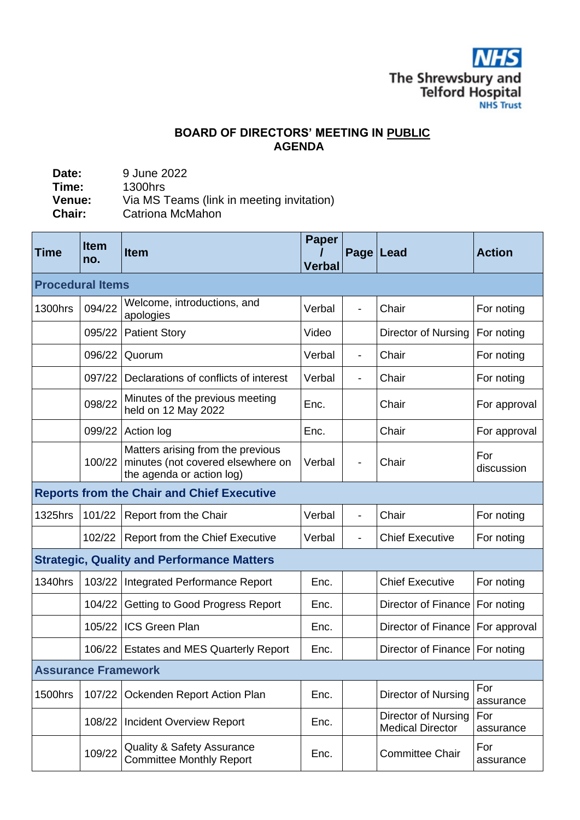**NHS** The Shrewsbury and<br>Telford Hospital

## **BOARD OF DIRECTORS' MEETING IN PUBLIC AGENDA**

| 9 June 2022                                                   |
|---------------------------------------------------------------|
| 1300hrs                                                       |
| Via MS Teams (link in meeting invitation)<br>Catriona McMahon |
|                                                               |

| Time                                              | <b>Item</b><br>no. | <b>Item</b>                                                                                         | <b>Paper</b><br><b>Verbal</b> | Page   Lead              |                                                | <b>Action</b>     |  |  |  |
|---------------------------------------------------|--------------------|-----------------------------------------------------------------------------------------------------|-------------------------------|--------------------------|------------------------------------------------|-------------------|--|--|--|
| <b>Procedural Items</b>                           |                    |                                                                                                     |                               |                          |                                                |                   |  |  |  |
| 1300hrs                                           | 094/22             | Welcome, introductions, and<br>apologies                                                            | Verbal                        |                          | Chair                                          | For noting        |  |  |  |
|                                                   | 095/22             | <b>Patient Story</b>                                                                                | Video                         |                          | Director of Nursing                            | For noting        |  |  |  |
|                                                   | 096/22             | Quorum                                                                                              | Verbal                        |                          | Chair                                          | For noting        |  |  |  |
|                                                   | 097/22             | Declarations of conflicts of interest                                                               | Verbal                        |                          | Chair                                          | For noting        |  |  |  |
|                                                   | 098/22             | Minutes of the previous meeting<br>held on 12 May 2022                                              | Enc.                          |                          | Chair                                          | For approval      |  |  |  |
|                                                   | 099/22             | Action log                                                                                          | Enc.                          |                          | Chair                                          | For approval      |  |  |  |
|                                                   | 100/22             | Matters arising from the previous<br>minutes (not covered elsewhere on<br>the agenda or action log) | Verbal                        |                          | Chair                                          | For<br>discussion |  |  |  |
| <b>Reports from the Chair and Chief Executive</b> |                    |                                                                                                     |                               |                          |                                                |                   |  |  |  |
| 1325hrs                                           | 101/22             | Report from the Chair                                                                               | Verbal                        | $\blacksquare$           | Chair                                          | For noting        |  |  |  |
|                                                   | 102/22             | <b>Report from the Chief Executive</b>                                                              | Verbal                        | $\overline{\phantom{a}}$ | <b>Chief Executive</b>                         | For noting        |  |  |  |
| <b>Strategic, Quality and Performance Matters</b> |                    |                                                                                                     |                               |                          |                                                |                   |  |  |  |
| 1340hrs                                           |                    | 103/22   Integrated Performance Report                                                              | Enc.                          |                          | <b>Chief Executive</b>                         | For noting        |  |  |  |
|                                                   | 104/22             | Getting to Good Progress Report                                                                     | Enc.                          |                          | Director of Finance   For noting               |                   |  |  |  |
|                                                   | 105/22             | <b>ICS Green Plan</b>                                                                               | Enc.                          |                          | Director of Finance   For approval             |                   |  |  |  |
|                                                   | 106/22             | <b>Estates and MES Quarterly Report</b>                                                             | Enc.                          |                          | Director of Finance   For noting               |                   |  |  |  |
| <b>Assurance Framework</b>                        |                    |                                                                                                     |                               |                          |                                                |                   |  |  |  |
| <b>1500hrs</b>                                    | 107/22             | Ockenden Report Action Plan                                                                         | Enc.                          |                          | Director of Nursing                            | For<br>assurance  |  |  |  |
|                                                   | 108/22             | <b>Incident Overview Report</b>                                                                     | Enc.                          |                          | Director of Nursing<br><b>Medical Director</b> | For<br>assurance  |  |  |  |
|                                                   | 109/22             | <b>Quality &amp; Safety Assurance</b><br><b>Committee Monthly Report</b>                            | Enc.                          |                          | <b>Committee Chair</b>                         | For<br>assurance  |  |  |  |